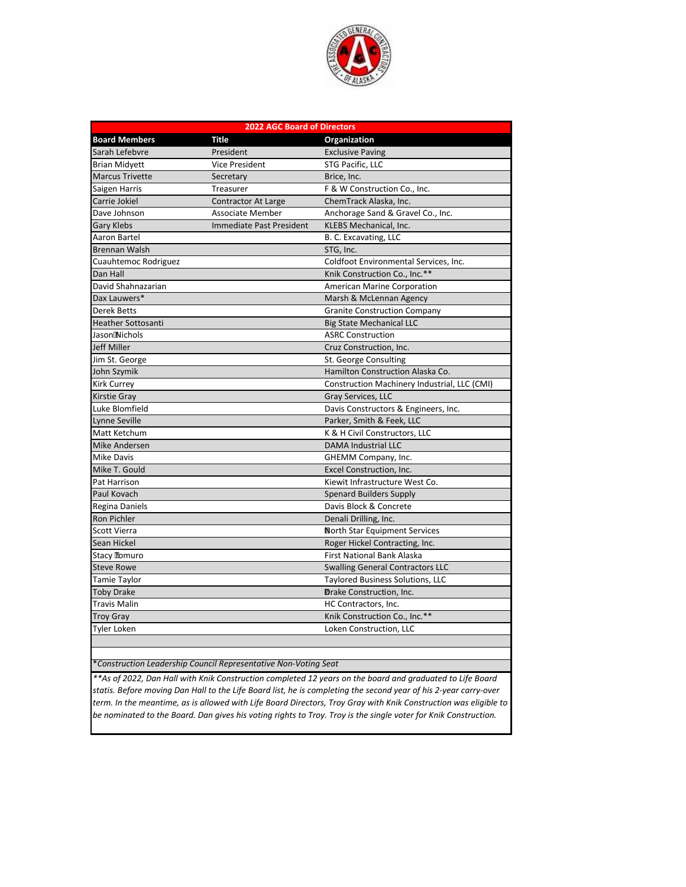

| <b>2022 AGC Board of Directors</b> |                                 |                                              |  |  |
|------------------------------------|---------------------------------|----------------------------------------------|--|--|
| <b>Board Members</b>               | <b>Title</b>                    | Organization                                 |  |  |
| Sarah Lefebvre                     | President                       | <b>Exclusive Paving</b>                      |  |  |
| <b>Brian Midyett</b>               | <b>Vice President</b>           | STG Pacific, LLC                             |  |  |
| <b>Marcus Trivette</b>             | Secretary                       | Brice, Inc.                                  |  |  |
| Saigen Harris                      | Treasurer                       | F & W Construction Co., Inc.                 |  |  |
| Carrie Jokiel                      | Contractor At Large             | ChemTrack Alaska, Inc.                       |  |  |
| Dave Johnson                       | <b>Associate Member</b>         | Anchorage Sand & Gravel Co., Inc.            |  |  |
| <b>Gary Klebs</b>                  | <b>Immediate Past President</b> | KLEBS Mechanical, Inc.                       |  |  |
| <b>Aaron Bartel</b>                |                                 | B. C. Excavating, LLC                        |  |  |
| <b>Brennan Walsh</b>               |                                 | STG, Inc.                                    |  |  |
| Cuauhtemoc Rodriguez               |                                 | Coldfoot Environmental Services, Inc.        |  |  |
| Dan Hall                           |                                 | Knik Construction Co., Inc.**                |  |  |
| David Shahnazarian                 |                                 | <b>American Marine Corporation</b>           |  |  |
| Dax Lauwers*                       |                                 | Marsh & McLennan Agency                      |  |  |
| <b>Derek Betts</b>                 |                                 | <b>Granite Construction Company</b>          |  |  |
| <b>Heather Sottosanti</b>          |                                 | <b>Big State Mechanical LLC</b>              |  |  |
| JasonMichols                       |                                 | <b>ASRC Construction</b>                     |  |  |
| <b>Jeff Miller</b>                 |                                 | Cruz Construction, Inc.                      |  |  |
| Jim St. George                     |                                 | St. George Consulting                        |  |  |
| John Szymik                        |                                 | Hamilton Construction Alaska Co.             |  |  |
| <b>Kirk Currey</b>                 |                                 | Construction Machinery Industrial, LLC (CMI) |  |  |
| <b>Kirstie Gray</b>                |                                 | Gray Services, LLC                           |  |  |
| Luke Blomfield                     |                                 | Davis Constructors & Engineers, Inc.         |  |  |
| Lynne Seville                      |                                 | Parker, Smith & Feek, LLC                    |  |  |
| Matt Ketchum                       |                                 | K & H Civil Constructors, LLC                |  |  |
| <b>Mike Andersen</b>               |                                 | <b>DAMA Industrial LLC</b>                   |  |  |
| <b>Mike Davis</b>                  |                                 | GHEMM Company, Inc.                          |  |  |
| Mike T. Gould                      |                                 | Excel Construction, Inc.                     |  |  |
| Pat Harrison                       |                                 | Kiewit Infrastructure West Co.               |  |  |
| Paul Kovach                        |                                 | <b>Spenard Builders Supply</b>               |  |  |
| Regina Daniels                     |                                 | Davis Block & Concrete                       |  |  |
| <b>Ron Pichler</b>                 |                                 | Denali Drilling, Inc.                        |  |  |
| <b>Scott Vierra</b>                |                                 | North Star Equipment Services                |  |  |
| Sean Hickel                        |                                 | Roger Hickel Contracting, Inc.               |  |  |
| <b>Stacy Tomuro</b>                |                                 | <b>First National Bank Alaska</b>            |  |  |
| <b>Steve Rowe</b>                  |                                 | <b>Swalling General Contractors LLC</b>      |  |  |
| <b>Tamie Taylor</b>                |                                 | <b>Taylored Business Solutions, LLC</b>      |  |  |
| <b>Toby Drake</b>                  |                                 | <b>Drake Construction, Inc.</b>              |  |  |
| Travis Malin                       |                                 | HC Contractors, Inc.                         |  |  |
| <b>Troy Gray</b>                   |                                 | Knik Construction Co., Inc.**                |  |  |
| Tyler Loken                        |                                 | Loken Construction, LLC                      |  |  |
|                                    |                                 |                                              |  |  |

\**Construction Leadership Council Representative Non-Voting Seat*

*\*\*As of 2022, Dan Hall with Knik Construction completed 12 years on the board and graduated to Life Board statis. Before moving Dan Hall to the Life Board list, he is completing the second year of his 2-year carry-over term. In the meantime, as is allowed with Life Board Directors, Troy Gray with Knik Construction was eligible to be nominated to the Board. Dan gives his voting rights to Troy. Troy is the single voter for Knik Construction.*